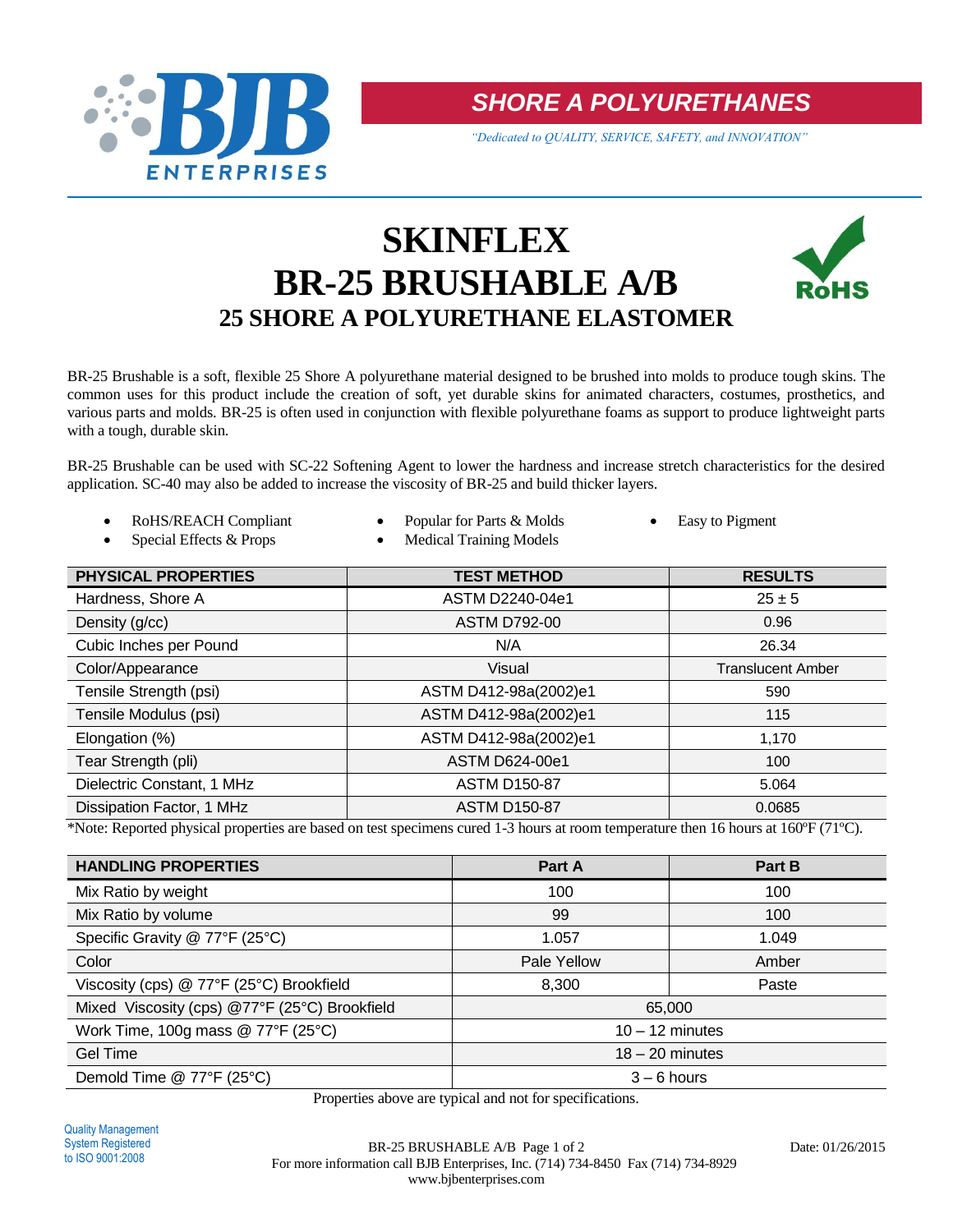

*SHORE A POLYURETHANES*

*"Dedicated to QUALITY, SERVICE, SAFETY, and INNOVATION"*

# **SKINFLEX BR-25 BRUSHABLE A/B 25 SHORE A POLYURETHANE ELASTOMER**



BR-25 Brushable is a soft, flexible 25 Shore A polyurethane material designed to be brushed into molds to produce tough skins. The common uses for this product include the creation of soft, yet durable skins for animated characters, costumes, prosthetics, and various parts and molds. BR-25 is often used in conjunction with flexible polyurethane foams as support to produce lightweight parts with a tough, durable skin.

BR-25 Brushable can be used with SC-22 Softening Agent to lower the hardness and increase stretch characteristics for the desired application. SC-40 may also be added to increase the viscosity of BR-25 and build thicker layers.

- ROHS/REACH Compliant  $\bullet$  Popular for Parts & Molds  $\bullet$  Easy to Pigment
	- Special Effects & Props Medical Training Models
- 

| <b>PHYSICAL PROPERTIES</b> | <b>TEST METHOD</b>    | <b>RESULTS</b>           |
|----------------------------|-----------------------|--------------------------|
| Hardness, Shore A          | ASTM D2240-04e1       | $25 \pm 5$               |
| Density (g/cc)             | <b>ASTM D792-00</b>   | 0.96                     |
| Cubic Inches per Pound     | N/A                   | 26.34                    |
| Color/Appearance           | Visual                | <b>Translucent Amber</b> |
| Tensile Strength (psi)     | ASTM D412-98a(2002)e1 | 590                      |
| Tensile Modulus (psi)      | ASTM D412-98a(2002)e1 | 115                      |
| Elongation (%)             | ASTM D412-98a(2002)e1 | 1,170                    |
| Tear Strength (pli)        | <b>ASTM D624-00e1</b> | 100                      |
| Dielectric Constant, 1 MHz | <b>ASTM D150-87</b>   | 5.064                    |
| Dissipation Factor, 1 MHz  | <b>ASTM D150-87</b>   | 0.0685                   |

\*Note: Reported physical properties are based on test specimens cured 1-3 hours at room temperature then 16 hours at 160ºF (71ºC).

| <b>HANDLING PROPERTIES</b>                    | Part A            | Part B |  |
|-----------------------------------------------|-------------------|--------|--|
| Mix Ratio by weight                           | 100               | 100    |  |
| Mix Ratio by volume                           | 99                | 100    |  |
| Specific Gravity @ 77°F (25°C)                | 1.057             | 1.049  |  |
| Color                                         | Pale Yellow       | Amber  |  |
| Viscosity (cps) @ 77°F (25°C) Brookfield      | 8,300             | Paste  |  |
| Mixed Viscosity (cps) @77°F (25°C) Brookfield | 65,000            |        |  |
| Work Time, 100g mass $@$ 77°F (25°C)          | $10 - 12$ minutes |        |  |
| Gel Time                                      | $18 - 20$ minutes |        |  |
| Demold Time @ 77°F (25°C)                     | $3 - 6$ hours     |        |  |

Properties above are typical and not for specifications.